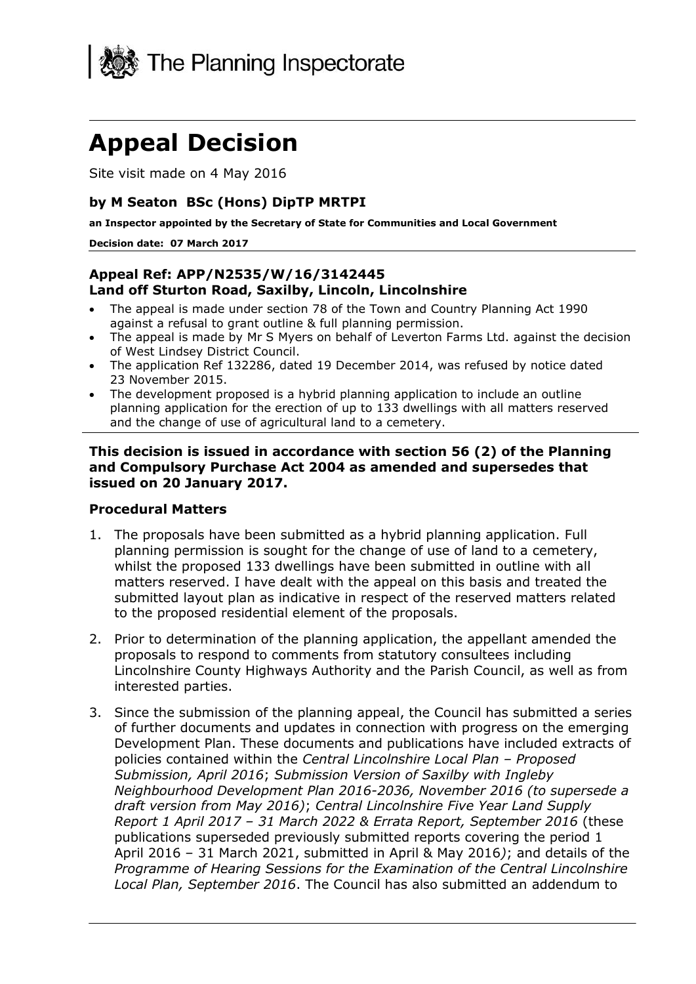

# **Appeal Decision**

Site visit made on 4 May 2016

#### **by M Seaton BSc (Hons) DipTP MRTPI**

**an Inspector appointed by the Secretary of State for Communities and Local Government**

#### **Decision date: 07 March 2017**

#### **Appeal Ref: APP/N2535/W/16/3142445 Land off Sturton Road, Saxilby, Lincoln, Lincolnshire**

- The appeal is made under section 78 of the Town and Country Planning Act 1990 against a refusal to grant outline & full planning permission.
- The appeal is made by Mr S Myers on behalf of Leverton Farms Ltd. against the decision of West Lindsey District Council.
- The application Ref 132286, dated 19 December 2014, was refused by notice dated 23 November 2015.
- The development proposed is a hybrid planning application to include an outline planning application for the erection of up to 133 dwellings with all matters reserved and the change of use of agricultural land to a cemetery.

**This decision is issued in accordance with section 56 (2) of the Planning and Compulsory Purchase Act 2004 as amended and supersedes that issued on 20 January 2017.**

#### **Procedural Matters**

- 1. The proposals have been submitted as a hybrid planning application. Full planning permission is sought for the change of use of land to a cemetery, whilst the proposed 133 dwellings have been submitted in outline with all matters reserved. I have dealt with the appeal on this basis and treated the submitted layout plan as indicative in respect of the reserved matters related to the proposed residential element of the proposals.
- 2. Prior to determination of the planning application, the appellant amended the proposals to respond to comments from statutory consultees including Lincolnshire County Highways Authority and the Parish Council, as well as from interested parties.
- 3. Since the submission of the planning appeal, the Council has submitted a series of further documents and updates in connection with progress on the emerging Development Plan. These documents and publications have included extracts of policies contained within the *Central Lincolnshire Local Plan – Proposed Submission, April 2016*; *Submission Version of Saxilby with Ingleby Neighbourhood Development Plan 2016-2036, November 2016 (to supersede a draft version from May 2016)*; *Central Lincolnshire Five Year Land Supply Report 1 April 2017 – 31 March 2022 & Errata Report, September 2016* (these publications superseded previously submitted reports covering the period 1 April 2016 – 31 March 2021, submitted in April & May 2016*)*; and details of the *Programme of Hearing Sessions for the Examination of the Central Lincolnshire Local Plan, September 2016*. The Council has also submitted an addendum to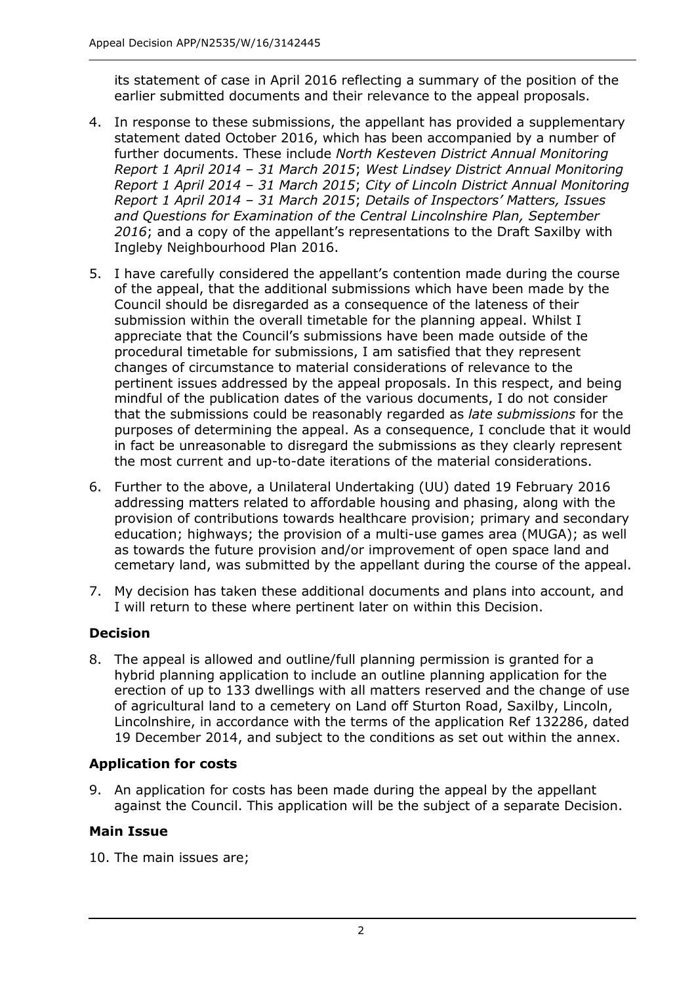its statement of case in April 2016 reflecting a summary of the position of the earlier submitted documents and their relevance to the appeal proposals.

- 4. In response to these submissions, the appellant has provided a supplementary statement dated October 2016, which has been accompanied by a number of further documents. These include *North Kesteven District Annual Monitoring Report 1 April 2014 – 31 March 2015*; *West Lindsey District Annual Monitoring Report 1 April 2014 – 31 March 2015*; *City of Lincoln District Annual Monitoring Report 1 April 2014 – 31 March 2015*; *Details of Inspectors' Matters, Issues and Questions for Examination of the Central Lincolnshire Plan, September 2016*; and a copy of the appellant's representations to the Draft Saxilby with Ingleby Neighbourhood Plan 2016.
- 5. I have carefully considered the appellant's contention made during the course of the appeal, that the additional submissions which have been made by the Council should be disregarded as a consequence of the lateness of their submission within the overall timetable for the planning appeal. Whilst I appreciate that the Council's submissions have been made outside of the procedural timetable for submissions, I am satisfied that they represent changes of circumstance to material considerations of relevance to the pertinent issues addressed by the appeal proposals. In this respect, and being mindful of the publication dates of the various documents, I do not consider that the submissions could be reasonably regarded as *late submissions* for the purposes of determining the appeal. As a consequence, I conclude that it would in fact be unreasonable to disregard the submissions as they clearly represent the most current and up-to-date iterations of the material considerations.
- 6. Further to the above, a Unilateral Undertaking (UU) dated 19 February 2016 addressing matters related to affordable housing and phasing, along with the provision of contributions towards healthcare provision; primary and secondary education; highways; the provision of a multi-use games area (MUGA); as well as towards the future provision and/or improvement of open space land and cemetary land, was submitted by the appellant during the course of the appeal.
- 7. My decision has taken these additional documents and plans into account, and I will return to these where pertinent later on within this Decision.

## **Decision**

8. The appeal is allowed and outline/full planning permission is granted for a hybrid planning application to include an outline planning application for the erection of up to 133 dwellings with all matters reserved and the change of use of agricultural land to a cemetery on Land off Sturton Road, Saxilby, Lincoln, Lincolnshire, in accordance with the terms of the application Ref 132286, dated 19 December 2014, and subject to the conditions as set out within the annex.

## **Application for costs**

9. An application for costs has been made during the appeal by the appellant against the Council. This application will be the subject of a separate Decision.

## **Main Issue**

10. The main issues are;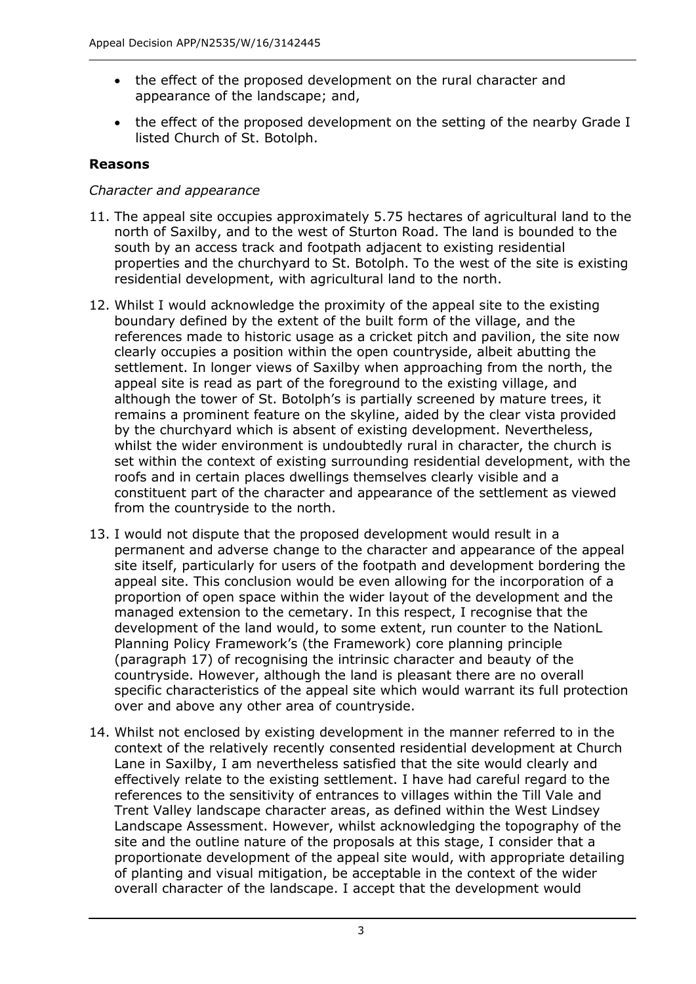- the effect of the proposed development on the rural character and appearance of the landscape; and,
- the effect of the proposed development on the setting of the nearby Grade I listed Church of St. Botolph.

#### **Reasons**

#### *Character and appearance*

- 11. The appeal site occupies approximately 5.75 hectares of agricultural land to the north of Saxilby, and to the west of Sturton Road. The land is bounded to the south by an access track and footpath adjacent to existing residential properties and the churchyard to St. Botolph. To the west of the site is existing residential development, with agricultural land to the north.
- 12. Whilst I would acknowledge the proximity of the appeal site to the existing boundary defined by the extent of the built form of the village, and the references made to historic usage as a cricket pitch and pavilion, the site now clearly occupies a position within the open countryside, albeit abutting the settlement. In longer views of Saxilby when approaching from the north, the appeal site is read as part of the foreground to the existing village, and although the tower of St. Botolph's is partially screened by mature trees, it remains a prominent feature on the skyline, aided by the clear vista provided by the churchyard which is absent of existing development. Nevertheless, whilst the wider environment is undoubtedly rural in character, the church is set within the context of existing surrounding residential development, with the roofs and in certain places dwellings themselves clearly visible and a constituent part of the character and appearance of the settlement as viewed from the countryside to the north.
- 13. I would not dispute that the proposed development would result in a permanent and adverse change to the character and appearance of the appeal site itself, particularly for users of the footpath and development bordering the appeal site. This conclusion would be even allowing for the incorporation of a proportion of open space within the wider layout of the development and the managed extension to the cemetary. In this respect, I recognise that the development of the land would, to some extent, run counter to the NationL Planning Policy Framework's (the Framework) core planning principle (paragraph 17) of recognising the intrinsic character and beauty of the countryside. However, although the land is pleasant there are no overall specific characteristics of the appeal site which would warrant its full protection over and above any other area of countryside.
- 14. Whilst not enclosed by existing development in the manner referred to in the context of the relatively recently consented residential development at Church Lane in Saxilby, I am nevertheless satisfied that the site would clearly and effectively relate to the existing settlement. I have had careful regard to the references to the sensitivity of entrances to villages within the Till Vale and Trent Valley landscape character areas, as defined within the West Lindsey Landscape Assessment. However, whilst acknowledging the topography of the site and the outline nature of the proposals at this stage, I consider that a proportionate development of the appeal site would, with appropriate detailing of planting and visual mitigation, be acceptable in the context of the wider overall character of the landscape. I accept that the development would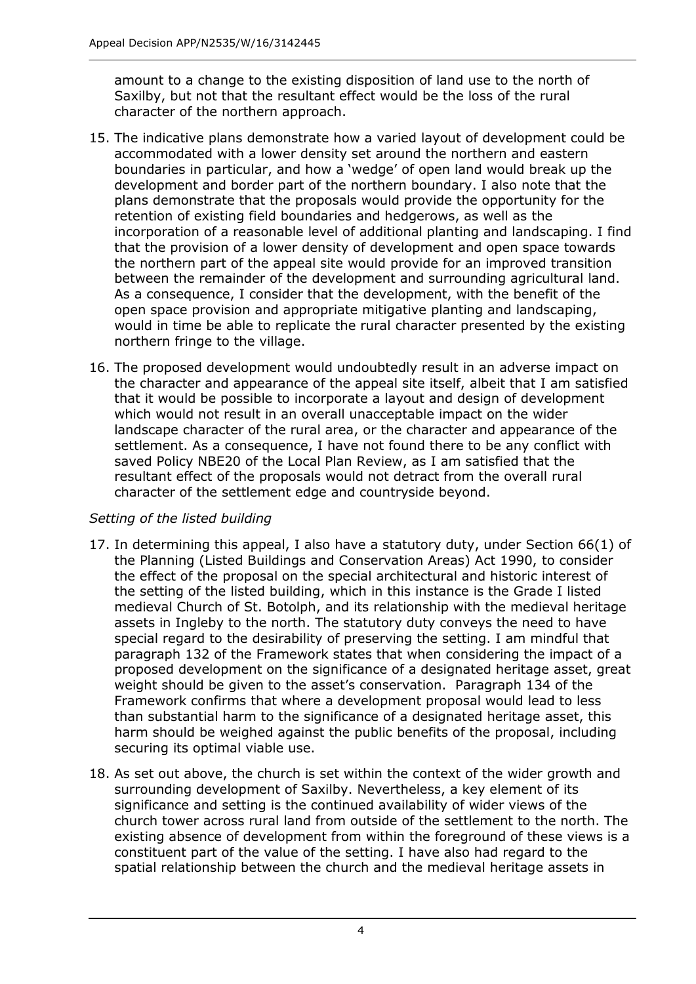amount to a change to the existing disposition of land use to the north of Saxilby, but not that the resultant effect would be the loss of the rural character of the northern approach.

- 15. The indicative plans demonstrate how a varied layout of development could be accommodated with a lower density set around the northern and eastern boundaries in particular, and how a 'wedge' of open land would break up the development and border part of the northern boundary. I also note that the plans demonstrate that the proposals would provide the opportunity for the retention of existing field boundaries and hedgerows, as well as the incorporation of a reasonable level of additional planting and landscaping. I find that the provision of a lower density of development and open space towards the northern part of the appeal site would provide for an improved transition between the remainder of the development and surrounding agricultural land. As a consequence, I consider that the development, with the benefit of the open space provision and appropriate mitigative planting and landscaping, would in time be able to replicate the rural character presented by the existing northern fringe to the village.
- 16. The proposed development would undoubtedly result in an adverse impact on the character and appearance of the appeal site itself, albeit that I am satisfied that it would be possible to incorporate a layout and design of development which would not result in an overall unacceptable impact on the wider landscape character of the rural area, or the character and appearance of the settlement. As a consequence, I have not found there to be any conflict with saved Policy NBE20 of the Local Plan Review, as I am satisfied that the resultant effect of the proposals would not detract from the overall rural character of the settlement edge and countryside beyond.

## *Setting of the listed building*

- 17. In determining this appeal, I also have a statutory duty, under Section 66(1) of the Planning (Listed Buildings and Conservation Areas) Act 1990, to consider the effect of the proposal on the special architectural and historic interest of the setting of the listed building, which in this instance is the Grade I listed medieval Church of St. Botolph, and its relationship with the medieval heritage assets in Ingleby to the north. The statutory duty conveys the need to have special regard to the desirability of preserving the setting. I am mindful that paragraph 132 of the Framework states that when considering the impact of a proposed development on the significance of a designated heritage asset, great weight should be given to the asset's conservation. Paragraph 134 of the Framework confirms that where a development proposal would lead to less than substantial harm to the significance of a designated heritage asset, this harm should be weighed against the public benefits of the proposal, including securing its optimal viable use.
- 18. As set out above, the church is set within the context of the wider growth and surrounding development of Saxilby. Nevertheless, a key element of its significance and setting is the continued availability of wider views of the church tower across rural land from outside of the settlement to the north. The existing absence of development from within the foreground of these views is a constituent part of the value of the setting. I have also had regard to the spatial relationship between the church and the medieval heritage assets in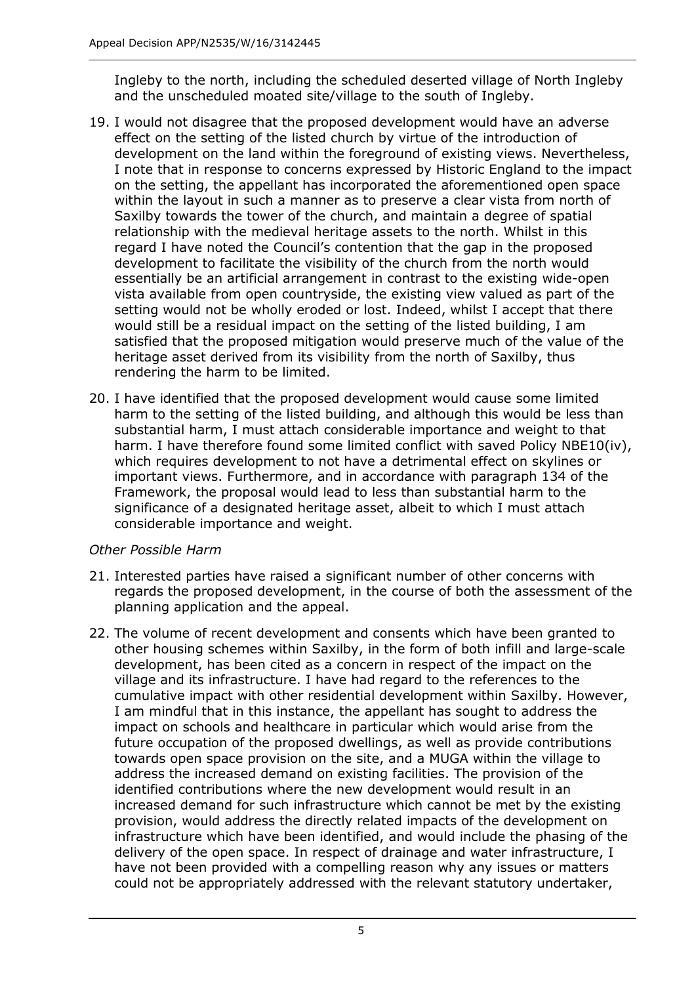Ingleby to the north, including the scheduled deserted village of North Ingleby and the unscheduled moated site/village to the south of Ingleby.

- 19. I would not disagree that the proposed development would have an adverse effect on the setting of the listed church by virtue of the introduction of development on the land within the foreground of existing views. Nevertheless, I note that in response to concerns expressed by Historic England to the impact on the setting, the appellant has incorporated the aforementioned open space within the layout in such a manner as to preserve a clear vista from north of Saxilby towards the tower of the church, and maintain a degree of spatial relationship with the medieval heritage assets to the north. Whilst in this regard I have noted the Council's contention that the gap in the proposed development to facilitate the visibility of the church from the north would essentially be an artificial arrangement in contrast to the existing wide-open vista available from open countryside, the existing view valued as part of the setting would not be wholly eroded or lost. Indeed, whilst I accept that there would still be a residual impact on the setting of the listed building, I am satisfied that the proposed mitigation would preserve much of the value of the heritage asset derived from its visibility from the north of Saxilby, thus rendering the harm to be limited.
- 20. I have identified that the proposed development would cause some limited harm to the setting of the listed building, and although this would be less than substantial harm, I must attach considerable importance and weight to that harm. I have therefore found some limited conflict with saved Policy NBE10(iv), which requires development to not have a detrimental effect on skylines or important views. Furthermore, and in accordance with paragraph 134 of the Framework, the proposal would lead to less than substantial harm to the significance of a designated heritage asset, albeit to which I must attach considerable importance and weight.

## *Other Possible Harm*

- 21. Interested parties have raised a significant number of other concerns with regards the proposed development, in the course of both the assessment of the planning application and the appeal.
- 22. The volume of recent development and consents which have been granted to other housing schemes within Saxilby, in the form of both infill and large-scale development, has been cited as a concern in respect of the impact on the village and its infrastructure. I have had regard to the references to the cumulative impact with other residential development within Saxilby. However, I am mindful that in this instance, the appellant has sought to address the impact on schools and healthcare in particular which would arise from the future occupation of the proposed dwellings, as well as provide contributions towards open space provision on the site, and a MUGA within the village to address the increased demand on existing facilities. The provision of the identified contributions where the new development would result in an increased demand for such infrastructure which cannot be met by the existing provision, would address the directly related impacts of the development on infrastructure which have been identified, and would include the phasing of the delivery of the open space. In respect of drainage and water infrastructure, I have not been provided with a compelling reason why any issues or matters could not be appropriately addressed with the relevant statutory undertaker,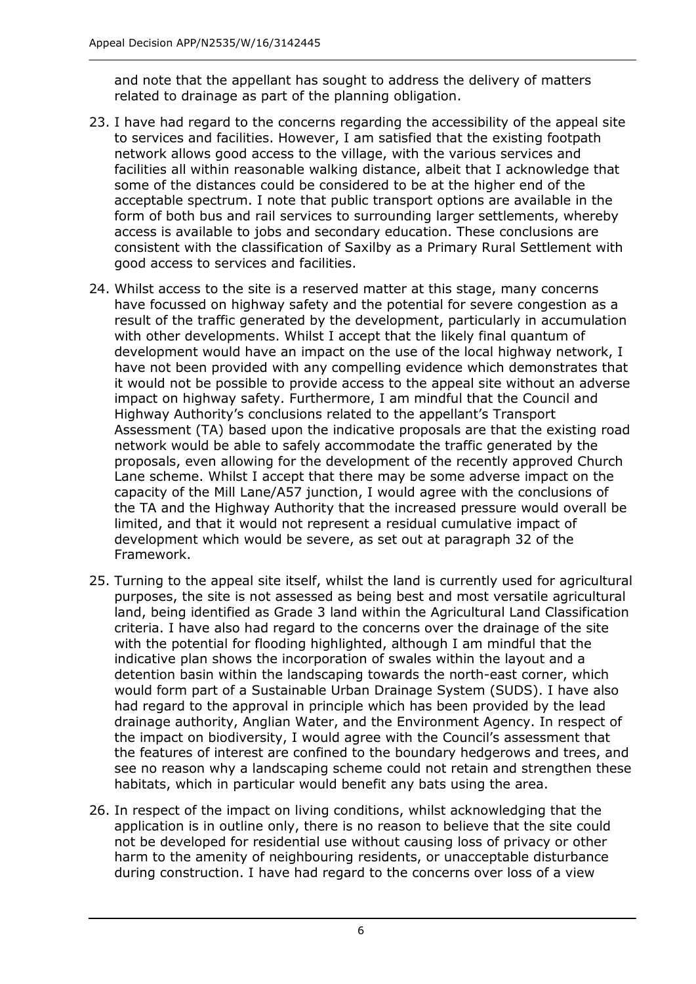and note that the appellant has sought to address the delivery of matters related to drainage as part of the planning obligation.

- 23. I have had regard to the concerns regarding the accessibility of the appeal site to services and facilities. However, I am satisfied that the existing footpath network allows good access to the village, with the various services and facilities all within reasonable walking distance, albeit that I acknowledge that some of the distances could be considered to be at the higher end of the acceptable spectrum. I note that public transport options are available in the form of both bus and rail services to surrounding larger settlements, whereby access is available to jobs and secondary education. These conclusions are consistent with the classification of Saxilby as a Primary Rural Settlement with good access to services and facilities.
- 24. Whilst access to the site is a reserved matter at this stage, many concerns have focussed on highway safety and the potential for severe congestion as a result of the traffic generated by the development, particularly in accumulation with other developments. Whilst I accept that the likely final quantum of development would have an impact on the use of the local highway network, I have not been provided with any compelling evidence which demonstrates that it would not be possible to provide access to the appeal site without an adverse impact on highway safety. Furthermore, I am mindful that the Council and Highway Authority's conclusions related to the appellant's Transport Assessment (TA) based upon the indicative proposals are that the existing road network would be able to safely accommodate the traffic generated by the proposals, even allowing for the development of the recently approved Church Lane scheme. Whilst I accept that there may be some adverse impact on the capacity of the Mill Lane/A57 junction, I would agree with the conclusions of the TA and the Highway Authority that the increased pressure would overall be limited, and that it would not represent a residual cumulative impact of development which would be severe, as set out at paragraph 32 of the Framework.
- 25. Turning to the appeal site itself, whilst the land is currently used for agricultural purposes, the site is not assessed as being best and most versatile agricultural land, being identified as Grade 3 land within the Agricultural Land Classification criteria. I have also had regard to the concerns over the drainage of the site with the potential for flooding highlighted, although I am mindful that the indicative plan shows the incorporation of swales within the layout and a detention basin within the landscaping towards the north-east corner, which would form part of a Sustainable Urban Drainage System (SUDS). I have also had regard to the approval in principle which has been provided by the lead drainage authority, Anglian Water, and the Environment Agency. In respect of the impact on biodiversity, I would agree with the Council's assessment that the features of interest are confined to the boundary hedgerows and trees, and see no reason why a landscaping scheme could not retain and strengthen these habitats, which in particular would benefit any bats using the area.
- 26. In respect of the impact on living conditions, whilst acknowledging that the application is in outline only, there is no reason to believe that the site could not be developed for residential use without causing loss of privacy or other harm to the amenity of neighbouring residents, or unacceptable disturbance during construction. I have had regard to the concerns over loss of a view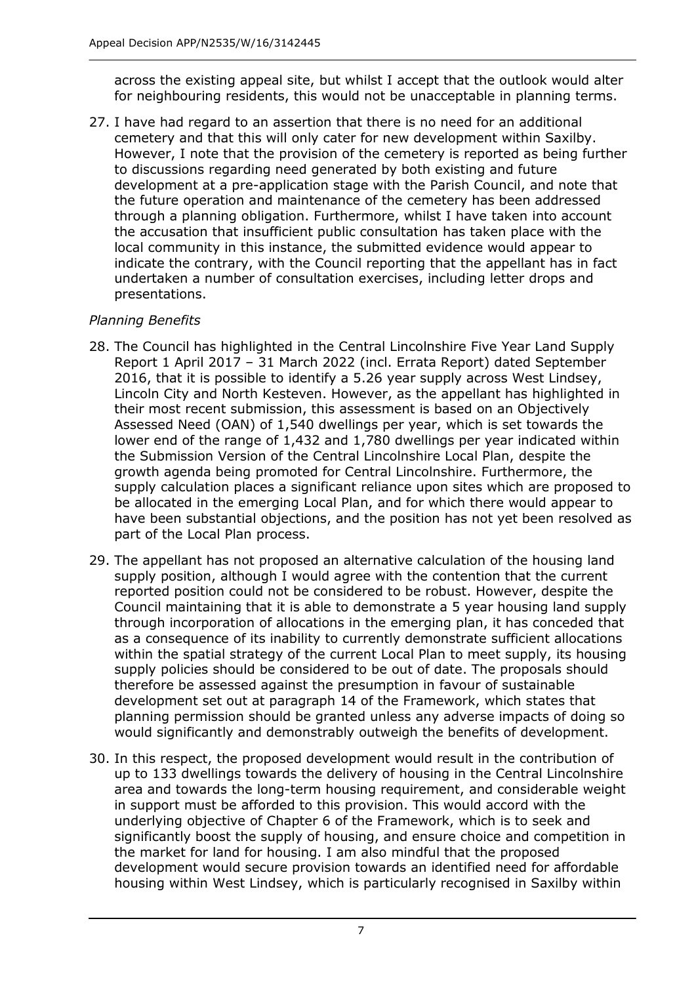across the existing appeal site, but whilst I accept that the outlook would alter for neighbouring residents, this would not be unacceptable in planning terms.

27. I have had regard to an assertion that there is no need for an additional cemetery and that this will only cater for new development within Saxilby. However, I note that the provision of the cemetery is reported as being further to discussions regarding need generated by both existing and future development at a pre-application stage with the Parish Council, and note that the future operation and maintenance of the cemetery has been addressed through a planning obligation. Furthermore, whilst I have taken into account the accusation that insufficient public consultation has taken place with the local community in this instance, the submitted evidence would appear to indicate the contrary, with the Council reporting that the appellant has in fact undertaken a number of consultation exercises, including letter drops and presentations.

## *Planning Benefits*

- 28. The Council has highlighted in the Central Lincolnshire Five Year Land Supply Report 1 April 2017 – 31 March 2022 (incl. Errata Report) dated September 2016, that it is possible to identify a 5.26 year supply across West Lindsey, Lincoln City and North Kesteven. However, as the appellant has highlighted in their most recent submission, this assessment is based on an Objectively Assessed Need (OAN) of 1,540 dwellings per year, which is set towards the lower end of the range of 1,432 and 1,780 dwellings per year indicated within the Submission Version of the Central Lincolnshire Local Plan, despite the growth agenda being promoted for Central Lincolnshire. Furthermore, the supply calculation places a significant reliance upon sites which are proposed to be allocated in the emerging Local Plan, and for which there would appear to have been substantial objections, and the position has not yet been resolved as part of the Local Plan process.
- 29. The appellant has not proposed an alternative calculation of the housing land supply position, although I would agree with the contention that the current reported position could not be considered to be robust. However, despite the Council maintaining that it is able to demonstrate a 5 year housing land supply through incorporation of allocations in the emerging plan, it has conceded that as a consequence of its inability to currently demonstrate sufficient allocations within the spatial strategy of the current Local Plan to meet supply, its housing supply policies should be considered to be out of date. The proposals should therefore be assessed against the presumption in favour of sustainable development set out at paragraph 14 of the Framework, which states that planning permission should be granted unless any adverse impacts of doing so would significantly and demonstrably outweigh the benefits of development.
- 30. In this respect, the proposed development would result in the contribution of up to 133 dwellings towards the delivery of housing in the Central Lincolnshire area and towards the long-term housing requirement, and considerable weight in support must be afforded to this provision. This would accord with the underlying objective of Chapter 6 of the Framework, which is to seek and significantly boost the supply of housing, and ensure choice and competition in the market for land for housing. I am also mindful that the proposed development would secure provision towards an identified need for affordable housing within West Lindsey, which is particularly recognised in Saxilby within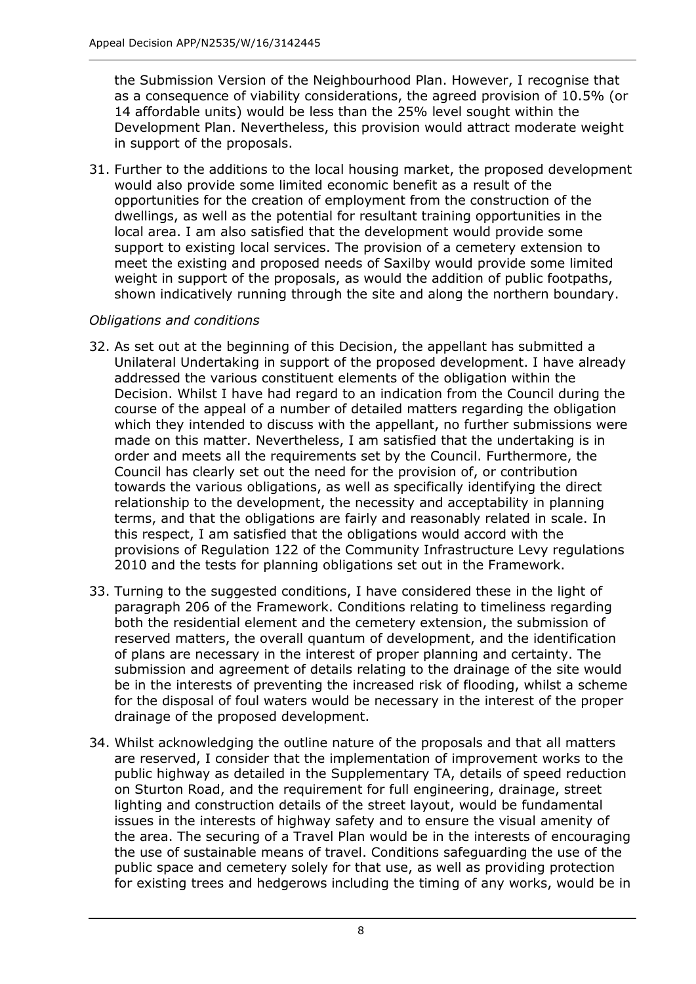the Submission Version of the Neighbourhood Plan. However, I recognise that as a consequence of viability considerations, the agreed provision of 10.5% (or 14 affordable units) would be less than the 25% level sought within the Development Plan. Nevertheless, this provision would attract moderate weight in support of the proposals.

31. Further to the additions to the local housing market, the proposed development would also provide some limited economic benefit as a result of the opportunities for the creation of employment from the construction of the dwellings, as well as the potential for resultant training opportunities in the local area. I am also satisfied that the development would provide some support to existing local services. The provision of a cemetery extension to meet the existing and proposed needs of Saxilby would provide some limited weight in support of the proposals, as would the addition of public footpaths, shown indicatively running through the site and along the northern boundary.

# *Obligations and conditions*

- 32. As set out at the beginning of this Decision, the appellant has submitted a Unilateral Undertaking in support of the proposed development. I have already addressed the various constituent elements of the obligation within the Decision. Whilst I have had regard to an indication from the Council during the course of the appeal of a number of detailed matters regarding the obligation which they intended to discuss with the appellant, no further submissions were made on this matter. Nevertheless, I am satisfied that the undertaking is in order and meets all the requirements set by the Council. Furthermore, the Council has clearly set out the need for the provision of, or contribution towards the various obligations, as well as specifically identifying the direct relationship to the development, the necessity and acceptability in planning terms, and that the obligations are fairly and reasonably related in scale. In this respect, I am satisfied that the obligations would accord with the provisions of Regulation 122 of the Community Infrastructure Levy regulations 2010 and the tests for planning obligations set out in the Framework.
- 33. Turning to the suggested conditions, I have considered these in the light of paragraph 206 of the Framework. Conditions relating to timeliness regarding both the residential element and the cemetery extension, the submission of reserved matters, the overall quantum of development, and the identification of plans are necessary in the interest of proper planning and certainty. The submission and agreement of details relating to the drainage of the site would be in the interests of preventing the increased risk of flooding, whilst a scheme for the disposal of foul waters would be necessary in the interest of the proper drainage of the proposed development.
- 34. Whilst acknowledging the outline nature of the proposals and that all matters are reserved, I consider that the implementation of improvement works to the public highway as detailed in the Supplementary TA, details of speed reduction on Sturton Road, and the requirement for full engineering, drainage, street lighting and construction details of the street layout, would be fundamental issues in the interests of highway safety and to ensure the visual amenity of the area. The securing of a Travel Plan would be in the interests of encouraging the use of sustainable means of travel. Conditions safeguarding the use of the public space and cemetery solely for that use, as well as providing protection for existing trees and hedgerows including the timing of any works, would be in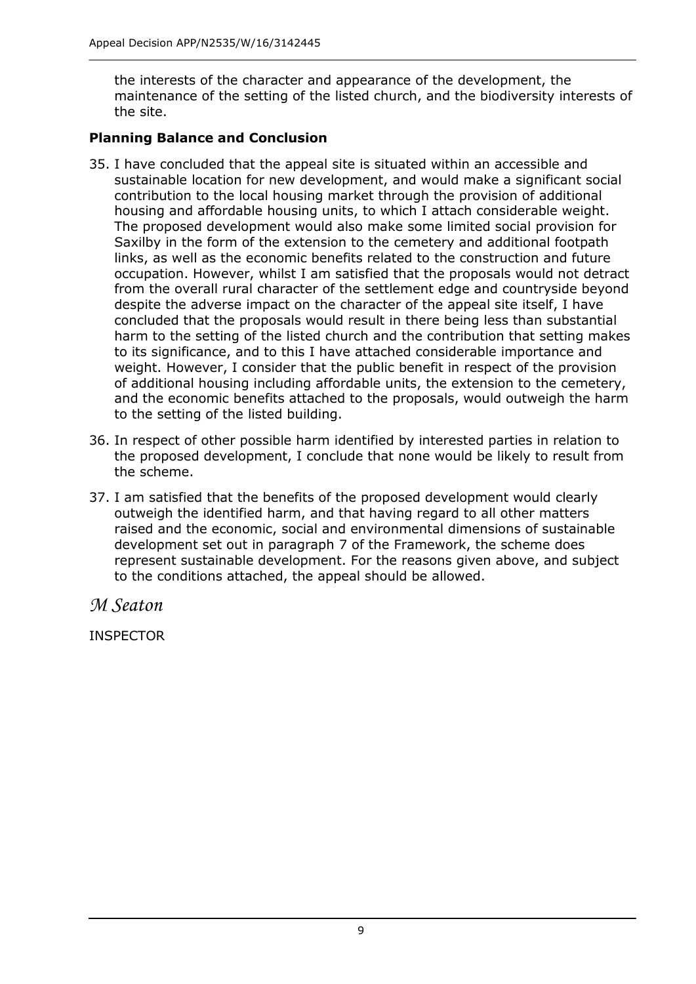the interests of the character and appearance of the development, the maintenance of the setting of the listed church, and the biodiversity interests of the site.

## **Planning Balance and Conclusion**

- 35. I have concluded that the appeal site is situated within an accessible and sustainable location for new development, and would make a significant social contribution to the local housing market through the provision of additional housing and affordable housing units, to which I attach considerable weight. The proposed development would also make some limited social provision for Saxilby in the form of the extension to the cemetery and additional footpath links, as well as the economic benefits related to the construction and future occupation. However, whilst I am satisfied that the proposals would not detract from the overall rural character of the settlement edge and countryside beyond despite the adverse impact on the character of the appeal site itself, I have concluded that the proposals would result in there being less than substantial harm to the setting of the listed church and the contribution that setting makes to its significance, and to this I have attached considerable importance and weight. However, I consider that the public benefit in respect of the provision of additional housing including affordable units, the extension to the cemetery, and the economic benefits attached to the proposals, would outweigh the harm to the setting of the listed building.
- 36. In respect of other possible harm identified by interested parties in relation to the proposed development, I conclude that none would be likely to result from the scheme.
- 37. I am satisfied that the benefits of the proposed development would clearly outweigh the identified harm, and that having regard to all other matters raised and the economic, social and environmental dimensions of sustainable development set out in paragraph 7 of the Framework, the scheme does represent sustainable development. For the reasons given above, and subject to the conditions attached, the appeal should be allowed.

*M Seaton*

INSPECTOR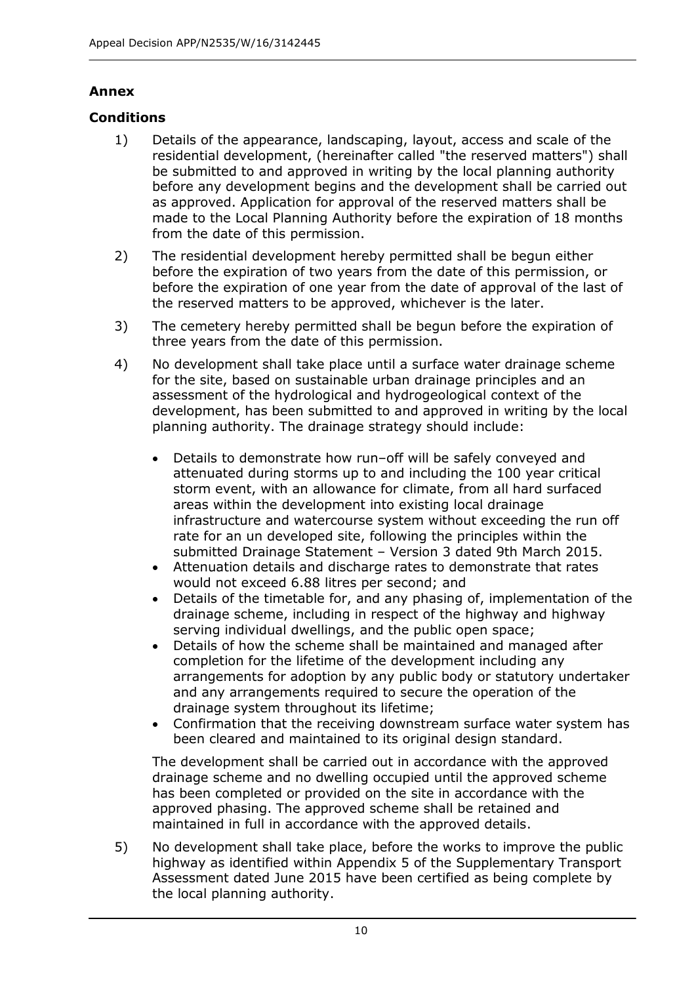# **Annex**

# **Conditions**

- 1) Details of the appearance, landscaping, layout, access and scale of the residential development, (hereinafter called "the reserved matters") shall be submitted to and approved in writing by the local planning authority before any development begins and the development shall be carried out as approved. Application for approval of the reserved matters shall be made to the Local Planning Authority before the expiration of 18 months from the date of this permission.
- 2) The residential development hereby permitted shall be begun either before the expiration of two years from the date of this permission, or before the expiration of one year from the date of approval of the last of the reserved matters to be approved, whichever is the later.
- 3) The cemetery hereby permitted shall be begun before the expiration of three years from the date of this permission.
- 4) No development shall take place until a surface water drainage scheme for the site, based on sustainable urban drainage principles and an assessment of the hydrological and hydrogeological context of the development, has been submitted to and approved in writing by the local planning authority. The drainage strategy should include:
	- Details to demonstrate how run–off will be safely conveyed and attenuated during storms up to and including the 100 year critical storm event, with an allowance for climate, from all hard surfaced areas within the development into existing local drainage infrastructure and watercourse system without exceeding the run off rate for an un developed site, following the principles within the submitted Drainage Statement – Version 3 dated 9th March 2015.
	- Attenuation details and discharge rates to demonstrate that rates would not exceed 6.88 litres per second; and
	- Details of the timetable for, and any phasing of, implementation of the drainage scheme, including in respect of the highway and highway serving individual dwellings, and the public open space;
	- Details of how the scheme shall be maintained and managed after completion for the lifetime of the development including any arrangements for adoption by any public body or statutory undertaker and any arrangements required to secure the operation of the drainage system throughout its lifetime;
	- Confirmation that the receiving downstream surface water system has been cleared and maintained to its original design standard.

The development shall be carried out in accordance with the approved drainage scheme and no dwelling occupied until the approved scheme has been completed or provided on the site in accordance with the approved phasing. The approved scheme shall be retained and maintained in full in accordance with the approved details.

5) No development shall take place, before the works to improve the public highway as identified within Appendix 5 of the Supplementary Transport Assessment dated June 2015 have been certified as being complete by the local planning authority.